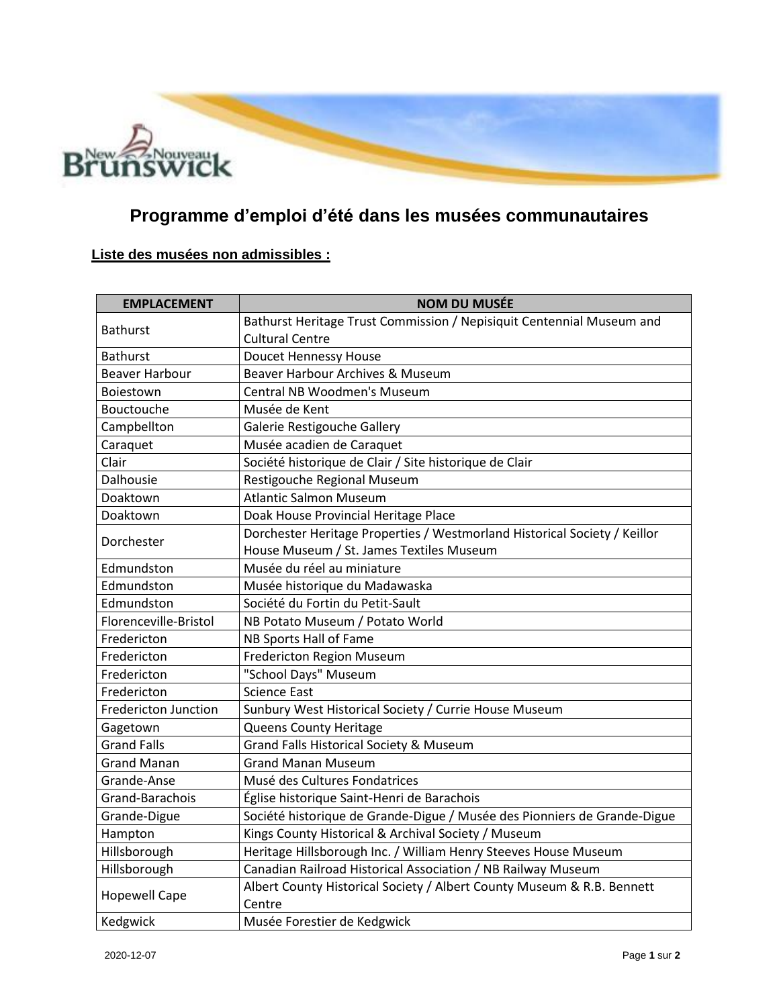

## **Programme d'emploi d'été dans les musées communautaires**

## **Liste des musées non admissibles :**

| <b>EMPLACEMENT</b>          | <b>NOM DU MUSÉE</b>                                                       |
|-----------------------------|---------------------------------------------------------------------------|
| <b>Bathurst</b>             | Bathurst Heritage Trust Commission / Nepisiquit Centennial Museum and     |
|                             | <b>Cultural Centre</b>                                                    |
| <b>Bathurst</b>             | Doucet Hennessy House                                                     |
| <b>Beaver Harbour</b>       | Beaver Harbour Archives & Museum                                          |
| Boiestown                   | <b>Central NB Woodmen's Museum</b>                                        |
| Bouctouche                  | Musée de Kent                                                             |
| Campbellton                 | Galerie Restigouche Gallery                                               |
| Caraquet                    | Musée acadien de Caraquet                                                 |
| Clair                       | Société historique de Clair / Site historique de Clair                    |
| Dalhousie                   | Restigouche Regional Museum                                               |
| Doaktown                    | <b>Atlantic Salmon Museum</b>                                             |
| Doaktown                    | Doak House Provincial Heritage Place                                      |
| Dorchester                  | Dorchester Heritage Properties / Westmorland Historical Society / Keillor |
|                             | House Museum / St. James Textiles Museum                                  |
| Edmundston                  | Musée du réel au miniature                                                |
| Edmundston                  | Musée historique du Madawaska                                             |
| Edmundston                  | Société du Fortin du Petit-Sault                                          |
| Florenceville-Bristol       | NB Potato Museum / Potato World                                           |
| Fredericton                 | NB Sports Hall of Fame                                                    |
| Fredericton                 | Fredericton Region Museum                                                 |
| Fredericton                 | "School Days" Museum                                                      |
| Fredericton                 | <b>Science East</b>                                                       |
| <b>Fredericton Junction</b> | Sunbury West Historical Society / Currie House Museum                     |
| Gagetown                    | Queens County Heritage                                                    |
| <b>Grand Falls</b>          | <b>Grand Falls Historical Society &amp; Museum</b>                        |
| <b>Grand Manan</b>          | <b>Grand Manan Museum</b>                                                 |
| Grande-Anse                 | Musé des Cultures Fondatrices                                             |
| Grand-Barachois             | Église historique Saint-Henri de Barachois                                |
| Grande-Digue                | Société historique de Grande-Digue / Musée des Pionniers de Grande-Digue  |
| Hampton                     | Kings County Historical & Archival Society / Museum                       |
| Hillsborough                | Heritage Hillsborough Inc. / William Henry Steeves House Museum           |
| Hillsborough                | Canadian Railroad Historical Association / NB Railway Museum              |
| <b>Hopewell Cape</b>        | Albert County Historical Society / Albert County Museum & R.B. Bennett    |
|                             | Centre                                                                    |
| Kedgwick                    | Musée Forestier de Kedgwick                                               |